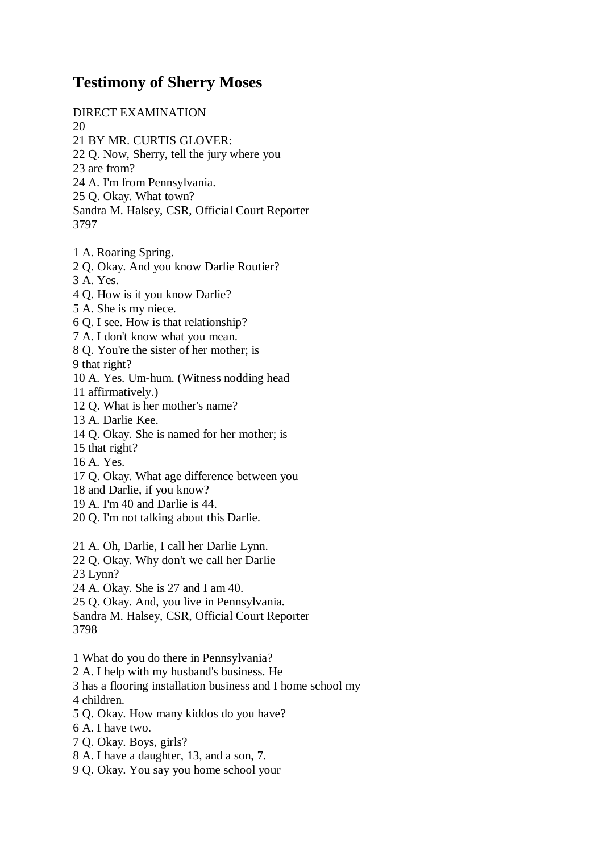## **Testimony of Sherry Moses**

DIRECT EXAMINATION 20

- 21 BY MR. CURTIS GLOVER:
- 22 Q. Now, Sherry, tell the jury where you

23 are from?

- 24 A. I'm from Pennsylvania.
- 25 Q. Okay. What town?
- Sandra M. Halsey, CSR, Official Court Reporter 3797
- 1 A. Roaring Spring.
- 2 Q. Okay. And you know Darlie Routier?
- 3 A. Yes.
- 4 Q. How is it you know Darlie?
- 5 A. She is my niece.
- 6 Q. I see. How is that relationship?
- 7 A. I don't know what you mean.
- 8 Q. You're the sister of her mother; is
- 9 that right?
- 10 A. Yes. Um-hum. (Witness nodding head
- 11 affirmatively.)
- 12 Q. What is her mother's name?
- 13 A. Darlie Kee.
- 14 Q. Okay. She is named for her mother; is
- 15 that right?
- 16 A. Yes.
- 17 Q. Okay. What age difference between you
- 18 and Darlie, if you know?
- 19 A. I'm 40 and Darlie is 44.
- 20 Q. I'm not talking about this Darlie.
- 21 A. Oh, Darlie, I call her Darlie Lynn.
- 22 Q. Okay. Why don't we call her Darlie 23 Lynn?
- 24 A. Okay. She is 27 and I am 40.
- 25 Q. Okay. And, you live in Pennsylvania.
- Sandra M. Halsey, CSR, Official Court Reporter 3798
- 1 What do you do there in Pennsylvania?
- 2 A. I help with my husband's business. He
- 3 has a flooring installation business and I home school my
- 4 children.
- 5 Q. Okay. How many kiddos do you have?
- 6 A. I have two.
- 7 Q. Okay. Boys, girls?
- 8 A. I have a daughter, 13, and a son, 7.
- 9 Q. Okay. You say you home school your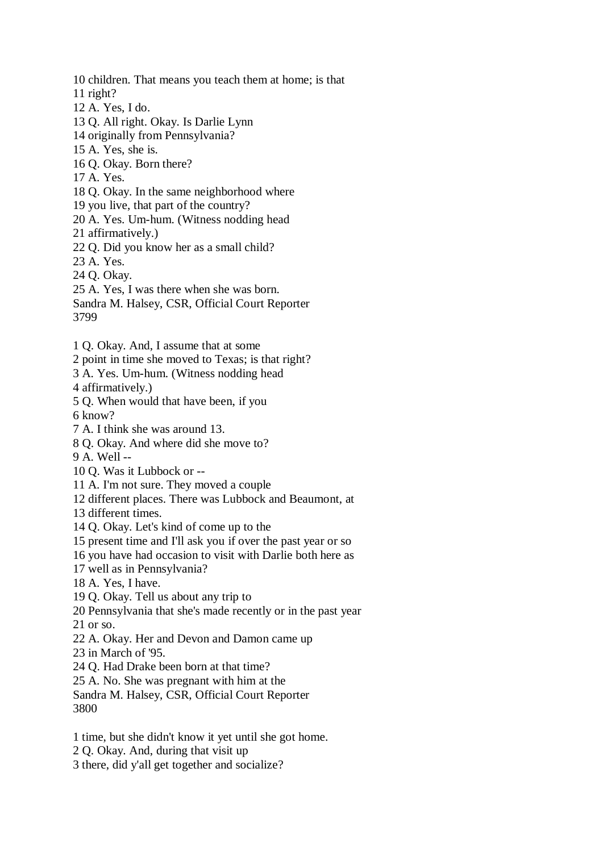10 children. That means you teach them at home; is that 11 right? 12 A. Yes, I do. 13 Q. All right. Okay. Is Darlie Lynn 14 originally from Pennsylvania? 15 A. Yes, she is. 16 Q. Okay. Born there? 17 A. Yes. 18 Q. Okay. In the same neighborhood where 19 you live, that part of the country? 20 A. Yes. Um-hum. (Witness nodding head 21 affirmatively.) 22 Q. Did you know her as a small child? 23 A. Yes. 24 Q. Okay. 25 A. Yes, I was there when she was born. Sandra M. Halsey, CSR, Official Court Reporter 3799 1 Q. Okay. And, I assume that at some 2 point in time she moved to Texas; is that right? 3 A. Yes. Um-hum. (Witness nodding head 4 affirmatively.) 5 Q. When would that have been, if you 6 know? 7 A. I think she was around 13. 8 Q. Okay. And where did she move to? 9 A. Well -- 10 Q. Was it Lubbock or -- 11 A. I'm not sure. They moved a couple 12 different places. There was Lubbock and Beaumont, at 13 different times. 14 Q. Okay. Let's kind of come up to the 15 present time and I'll ask you if over the past year or so 16 you have had occasion to visit with Darlie both here as 17 well as in Pennsylvania? 18 A. Yes, I have. 19 Q. Okay. Tell us about any trip to 20 Pennsylvania that she's made recently or in the past year 21 or so. 22 A. Okay. Her and Devon and Damon came up 23 in March of '95. 24 Q. Had Drake been born at that time? 25 A. No. She was pregnant with him at the Sandra M. Halsey, CSR, Official Court Reporter 3800 1 time, but she didn't know it yet until she got home. 2 Q. Okay. And, during that visit up

3 there, did y'all get together and socialize?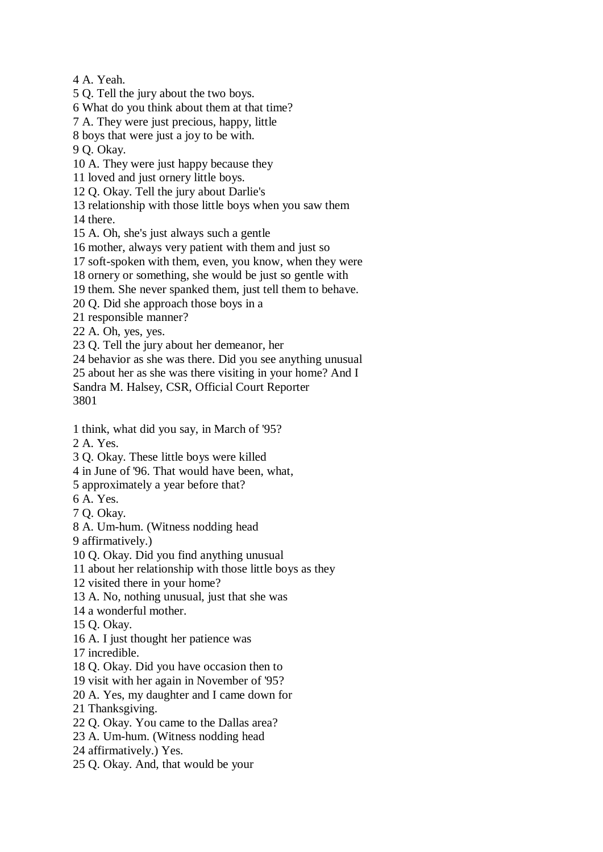4 A. Yeah.

5 Q. Tell the jury about the two boys.

6 What do you think about them at that time?

7 A. They were just precious, happy, little

8 boys that were just a joy to be with.

9 Q. Okay.

10 A. They were just happy because they

11 loved and just ornery little boys.

12 Q. Okay. Tell the jury about Darlie's

13 relationship with those little boys when you saw them

14 there.

15 A. Oh, she's just always such a gentle

16 mother, always very patient with them and just so

17 soft-spoken with them, even, you know, when they were

18 ornery or something, she would be just so gentle with

19 them. She never spanked them, just tell them to behave.

20 Q. Did she approach those boys in a

21 responsible manner?

22 A. Oh, yes, yes.

23 Q. Tell the jury about her demeanor, her

24 behavior as she was there. Did you see anything unusual

25 about her as she was there visiting in your home? And I

Sandra M. Halsey, CSR, Official Court Reporter 3801

1 think, what did you say, in March of '95?

2 A. Yes.

3 Q. Okay. These little boys were killed

4 in June of '96. That would have been, what,

5 approximately a year before that?

6 A. Yes.

7 Q. Okay.

8 A. Um-hum. (Witness nodding head

9 affirmatively.)

10 Q. Okay. Did you find anything unusual

11 about her relationship with those little boys as they

12 visited there in your home?

13 A. No, nothing unusual, just that she was

14 a wonderful mother.

15 Q. Okay.

16 A. I just thought her patience was

17 incredible.

18 Q. Okay. Did you have occasion then to

19 visit with her again in November of '95?

20 A. Yes, my daughter and I came down for

21 Thanksgiving.

22 Q. Okay. You came to the Dallas area?

23 A. Um-hum. (Witness nodding head

24 affirmatively.) Yes.

25 Q. Okay. And, that would be your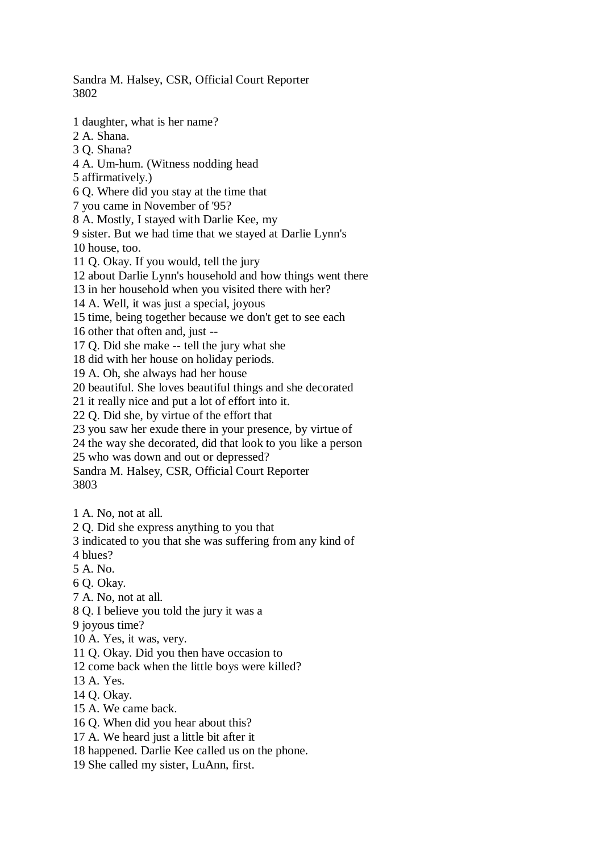Sandra M. Halsey, CSR, Official Court Reporter 3802

1 daughter, what is her name?

2 A. Shana.

3 Q. Shana?

4 A. Um-hum. (Witness nodding head

5 affirmatively.)

6 Q. Where did you stay at the time that

7 you came in November of '95?

8 A. Mostly, I stayed with Darlie Kee, my

9 sister. But we had time that we stayed at Darlie Lynn's

10 house, too.

11 Q. Okay. If you would, tell the jury

12 about Darlie Lynn's household and how things went there

13 in her household when you visited there with her?

14 A. Well, it was just a special, joyous

15 time, being together because we don't get to see each

16 other that often and, just --

17 Q. Did she make -- tell the jury what she

18 did with her house on holiday periods.

19 A. Oh, she always had her house

20 beautiful. She loves beautiful things and she decorated

21 it really nice and put a lot of effort into it.

22 Q. Did she, by virtue of the effort that

23 you saw her exude there in your presence, by virtue of

24 the way she decorated, did that look to you like a person

25 who was down and out or depressed?

Sandra M. Halsey, CSR, Official Court Reporter 3803

1 A. No, not at all.

2 Q. Did she express anything to you that

3 indicated to you that she was suffering from any kind of

4 blues?

5 A. No.

6 Q. Okay.

7 A. No, not at all.

8 Q. I believe you told the jury it was a

9 joyous time?

10 A. Yes, it was, very.

11 Q. Okay. Did you then have occasion to

12 come back when the little boys were killed?

13 A. Yes.

14 Q. Okay.

15 A. We came back.

16 Q. When did you hear about this?

17 A. We heard just a little bit after it

18 happened. Darlie Kee called us on the phone.

19 She called my sister, LuAnn, first.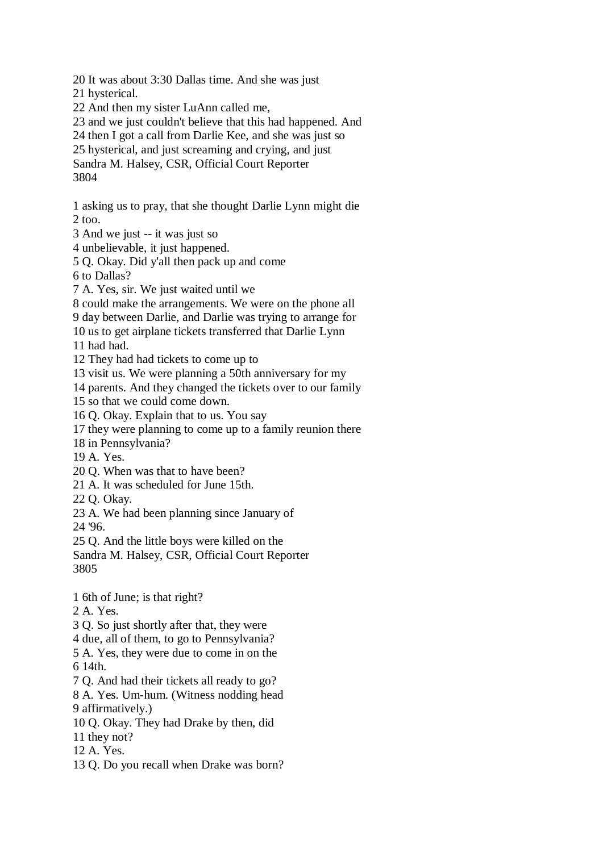20 It was about 3:30 Dallas time. And she was just 21 hysterical. 22 And then my sister LuAnn called me, 23 and we just couldn't believe that this had happened. And 24 then I got a call from Darlie Kee, and she was just so 25 hysterical, and just screaming and crying, and just Sandra M. Halsey, CSR, Official Court Reporter 3804 1 asking us to pray, that she thought Darlie Lynn might die  $2 \text{ too.}$ 3 And we just -- it was just so 4 unbelievable, it just happened. 5 Q. Okay. Did y'all then pack up and come 6 to Dallas? 7 A. Yes, sir. We just waited until we 8 could make the arrangements. We were on the phone all 9 day between Darlie, and Darlie was trying to arrange for 10 us to get airplane tickets transferred that Darlie Lynn 11 had had. 12 They had had tickets to come up to 13 visit us. We were planning a 50th anniversary for my 14 parents. And they changed the tickets over to our family 15 so that we could come down. 16 Q. Okay. Explain that to us. You say 17 they were planning to come up to a family reunion there 18 in Pennsylvania? 19 A. Yes. 20 Q. When was that to have been? 21 A. It was scheduled for June 15th. 22 Q. Okay. 23 A. We had been planning since January of 24 '96. 25 Q. And the little boys were killed on the Sandra M. Halsey, CSR, Official Court Reporter 3805 1 6th of June; is that right? 2 A. Yes. 3 Q. So just shortly after that, they were 4 due, all of them, to go to Pennsylvania? 5 A. Yes, they were due to come in on the 6 14th. 7 Q. And had their tickets all ready to go?

8 A. Yes. Um-hum. (Witness nodding head 9 affirmatively.)

- 10 Q. Okay. They had Drake by then, did
- 11 they not?
- 12 A. Yes.
- 13 Q. Do you recall when Drake was born?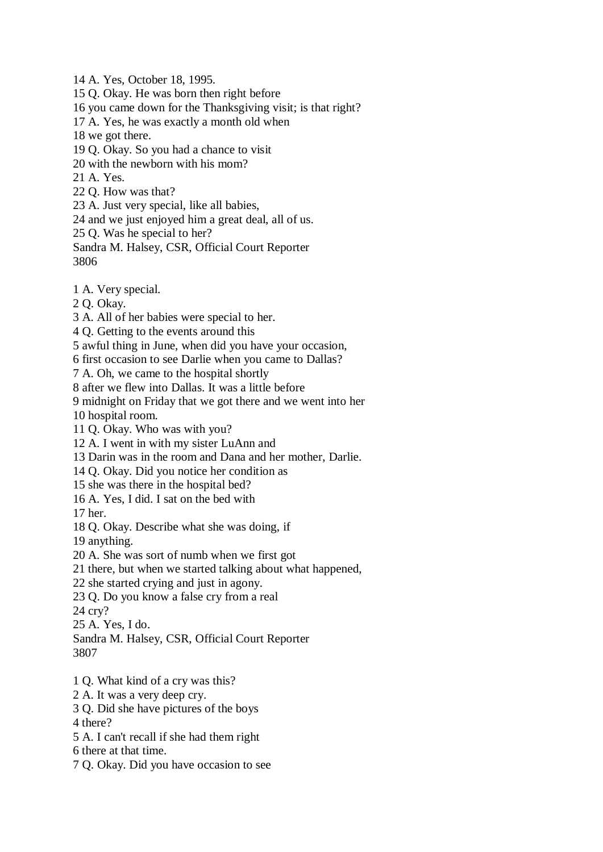14 A. Yes, October 18, 1995.

15 Q. Okay. He was born then right before

16 you came down for the Thanksgiving visit; is that right?

17 A. Yes, he was exactly a month old when

18 we got there.

19 Q. Okay. So you had a chance to visit

20 with the newborn with his mom?

21 A. Yes.

22 Q. How was that?

23 A. Just very special, like all babies,

24 and we just enjoyed him a great deal, all of us.

25 Q. Was he special to her?

Sandra M. Halsey, CSR, Official Court Reporter 3806

1 A. Very special.

2 Q. Okay.

3 A. All of her babies were special to her.

4 Q. Getting to the events around this

5 awful thing in June, when did you have your occasion,

6 first occasion to see Darlie when you came to Dallas?

7 A. Oh, we came to the hospital shortly

8 after we flew into Dallas. It was a little before

9 midnight on Friday that we got there and we went into her

10 hospital room.

11 Q. Okay. Who was with you?

12 A. I went in with my sister LuAnn and

13 Darin was in the room and Dana and her mother, Darlie.

14 Q. Okay. Did you notice her condition as

15 she was there in the hospital bed?

16 A. Yes, I did. I sat on the bed with

17 her.

18 Q. Okay. Describe what she was doing, if

19 anything.

20 A. She was sort of numb when we first got

21 there, but when we started talking about what happened,

22 she started crying and just in agony.

23 Q. Do you know a false cry from a real

24 cry?

25 A. Yes, I do.

Sandra M. Halsey, CSR, Official Court Reporter 3807

1 Q. What kind of a cry was this?

2 A. It was a very deep cry.

3 Q. Did she have pictures of the boys

4 there?

5 A. I can't recall if she had them right

6 there at that time.

7 Q. Okay. Did you have occasion to see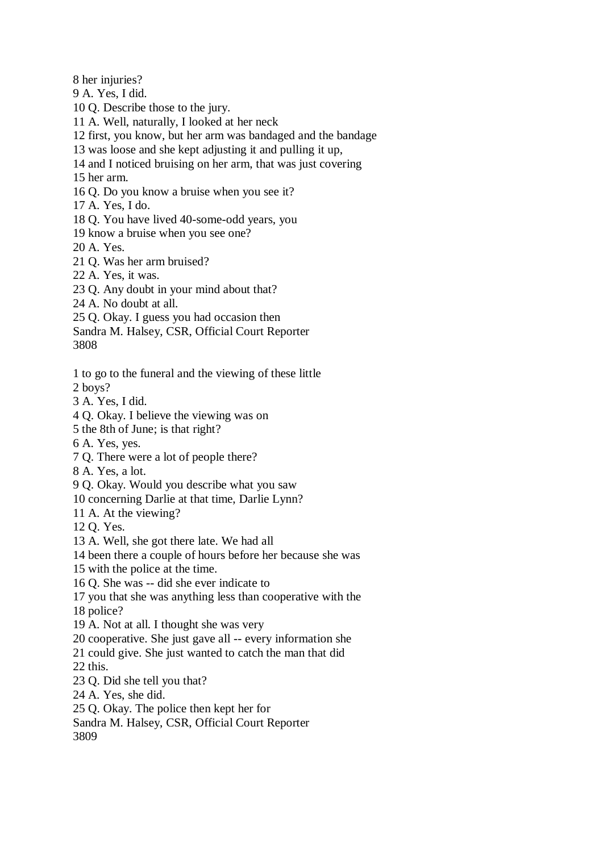8 her injuries?

9 A. Yes, I did.

10 Q. Describe those to the jury.

- 11 A. Well, naturally, I looked at her neck
- 12 first, you know, but her arm was bandaged and the bandage
- 13 was loose and she kept adjusting it and pulling it up,
- 14 and I noticed bruising on her arm, that was just covering

15 her arm.

- 16 Q. Do you know a bruise when you see it?
- 17 A. Yes, I do.
- 18 Q. You have lived 40-some-odd years, you
- 19 know a bruise when you see one?

20 A. Yes.

- 21 Q. Was her arm bruised?
- 22 A. Yes, it was.
- 23 Q. Any doubt in your mind about that?
- 24 A. No doubt at all.
- 25 Q. Okay. I guess you had occasion then
- Sandra M. Halsey, CSR, Official Court Reporter

3808

- 1 to go to the funeral and the viewing of these little 2 boys?
- 3 A. Yes, I did.
- 4 Q. Okay. I believe the viewing was on
- 5 the 8th of June; is that right?
- 6 A. Yes, yes.
- 7 Q. There were a lot of people there?
- 8 A. Yes, a lot.
- 9 Q. Okay. Would you describe what you saw
- 10 concerning Darlie at that time, Darlie Lynn?
- 11 A. At the viewing?
- 12 Q. Yes.
- 13 A. Well, she got there late. We had all
- 14 been there a couple of hours before her because she was
- 15 with the police at the time.
- 16 Q. She was -- did she ever indicate to
- 17 you that she was anything less than cooperative with the
- 18 police?
- 19 A. Not at all. I thought she was very
- 20 cooperative. She just gave all -- every information she
- 21 could give. She just wanted to catch the man that did

22 this.

- 23 Q. Did she tell you that?
- 24 A. Yes, she did.
- 25 Q. Okay. The police then kept her for
- Sandra M. Halsey, CSR, Official Court Reporter

3809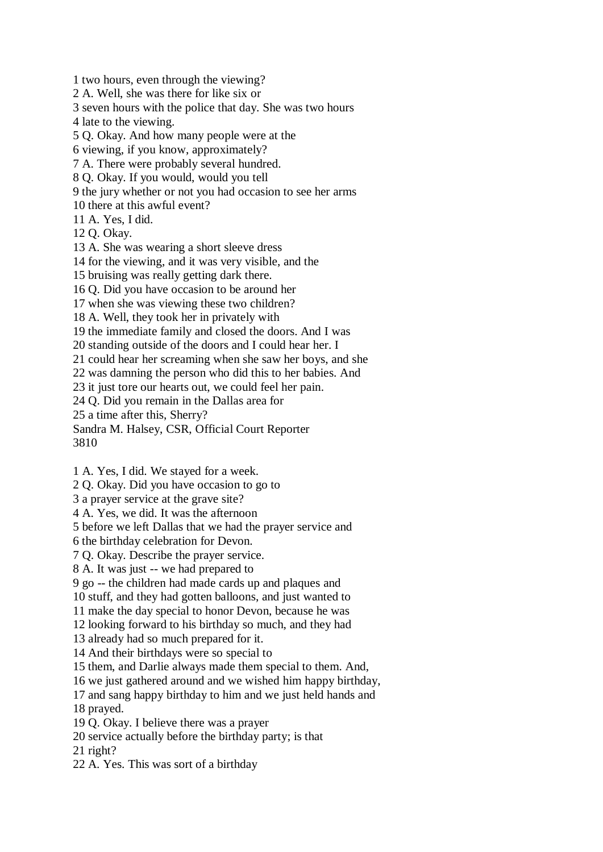1 two hours, even through the viewing?

2 A. Well, she was there for like six or

3 seven hours with the police that day. She was two hours

4 late to the viewing.

5 Q. Okay. And how many people were at the

6 viewing, if you know, approximately?

7 A. There were probably several hundred.

8 Q. Okay. If you would, would you tell

9 the jury whether or not you had occasion to see her arms

10 there at this awful event?

11 A. Yes, I did.

12 Q. Okay.

13 A. She was wearing a short sleeve dress

14 for the viewing, and it was very visible, and the

15 bruising was really getting dark there.

16 Q. Did you have occasion to be around her

17 when she was viewing these two children?

18 A. Well, they took her in privately with

19 the immediate family and closed the doors. And I was

20 standing outside of the doors and I could hear her. I

21 could hear her screaming when she saw her boys, and she

22 was damning the person who did this to her babies. And

23 it just tore our hearts out, we could feel her pain.

24 Q. Did you remain in the Dallas area for

25 a time after this, Sherry?

Sandra M. Halsey, CSR, Official Court Reporter 3810

1 A. Yes, I did. We stayed for a week.

2 Q. Okay. Did you have occasion to go to

3 a prayer service at the grave site?

4 A. Yes, we did. It was the afternoon

5 before we left Dallas that we had the prayer service and

6 the birthday celebration for Devon.

7 Q. Okay. Describe the prayer service.

8 A. It was just -- we had prepared to

9 go -- the children had made cards up and plaques and

10 stuff, and they had gotten balloons, and just wanted to

11 make the day special to honor Devon, because he was

12 looking forward to his birthday so much, and they had

13 already had so much prepared for it.

14 And their birthdays were so special to

15 them, and Darlie always made them special to them. And,

16 we just gathered around and we wished him happy birthday,

17 and sang happy birthday to him and we just held hands and

18 prayed.

19 Q. Okay. I believe there was a prayer

20 service actually before the birthday party; is that

21 right?

22 A. Yes. This was sort of a birthday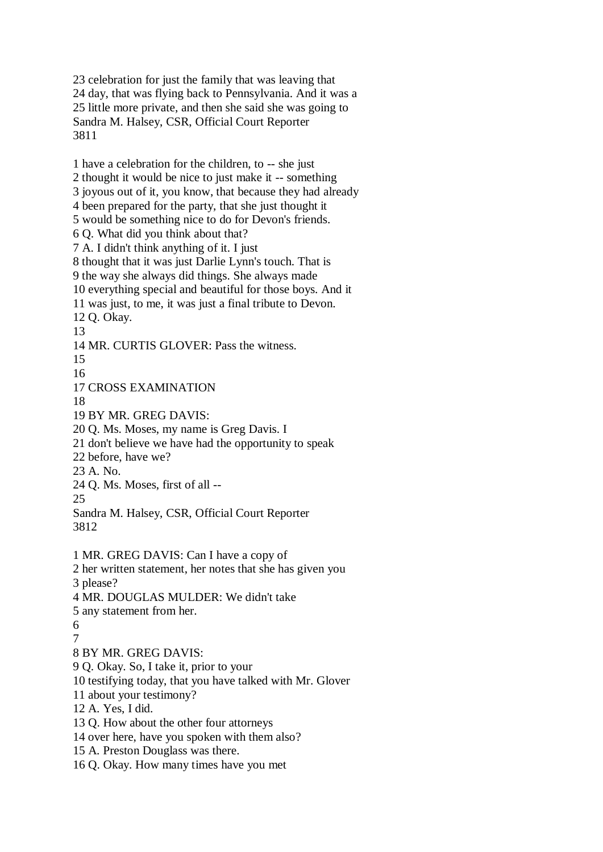23 celebration for just the family that was leaving that 24 day, that was flying back to Pennsylvania. And it was a 25 little more private, and then she said she was going to Sandra M. Halsey, CSR, Official Court Reporter 3811

1 have a celebration for the children, to -- she just 2 thought it would be nice to just make it -- something 3 joyous out of it, you know, that because they had already 4 been prepared for the party, that she just thought it 5 would be something nice to do for Devon's friends. 6 Q. What did you think about that? 7 A. I didn't think anything of it. I just 8 thought that it was just Darlie Lynn's touch. That is 9 the way she always did things. She always made 10 everything special and beautiful for those boys. And it 11 was just, to me, it was just a final tribute to Devon. 12 Q. Okay. 13 14 MR. CURTIS GLOVER: Pass the witness. 15 16 17 CROSS EXAMINATION 18 19 BY MR. GREG DAVIS: 20 Q. Ms. Moses, my name is Greg Davis. I 21 don't believe we have had the opportunity to speak 22 before, have we? 23 A. No. 24 Q. Ms. Moses, first of all -- 25 Sandra M. Halsey, CSR, Official Court Reporter 3812 1 MR. GREG DAVIS: Can I have a copy of 2 her written statement, her notes that she has given you 3 please? 4 MR. DOUGLAS MULDER: We didn't take 5 any statement from her. 6 7 8 BY MR. GREG DAVIS: 9 Q. Okay. So, I take it, prior to your 10 testifying today, that you have talked with Mr. Glover 11 about your testimony? 12 A. Yes, I did. 13 Q. How about the other four attorneys 14 over here, have you spoken with them also? 15 A. Preston Douglass was there.

16 Q. Okay. How many times have you met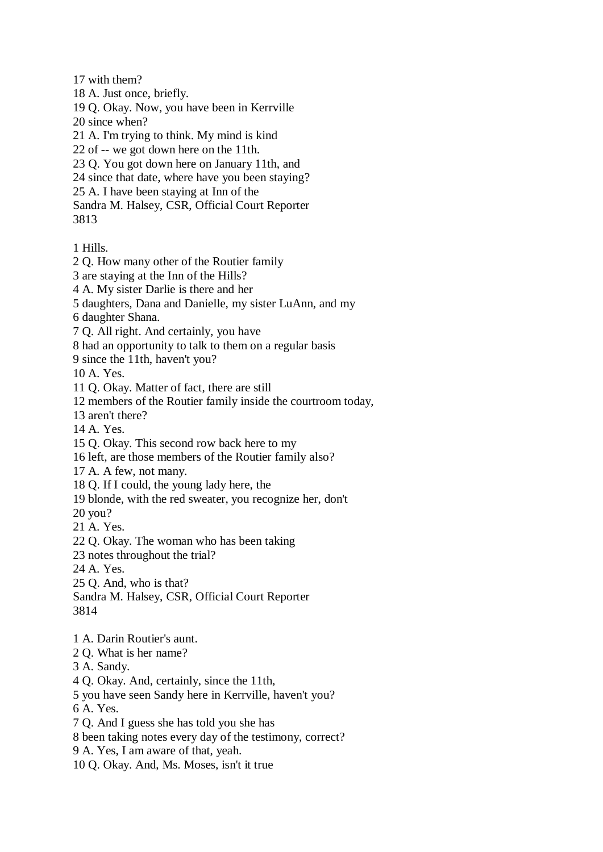17 with them?

18 A. Just once, briefly.

19 Q. Okay. Now, you have been in Kerrville 20 since when?

21 A. I'm trying to think. My mind is kind

22 of -- we got down here on the 11th.

23 Q. You got down here on January 11th, and

24 since that date, where have you been staying?

25 A. I have been staying at Inn of the

Sandra M. Halsey, CSR, Official Court Reporter 3813

1 Hills.

2 Q. How many other of the Routier family

3 are staying at the Inn of the Hills?

4 A. My sister Darlie is there and her

5 daughters, Dana and Danielle, my sister LuAnn, and my

6 daughter Shana.

7 Q. All right. And certainly, you have

8 had an opportunity to talk to them on a regular basis

9 since the 11th, haven't you?

10 A. Yes.

11 Q. Okay. Matter of fact, there are still

12 members of the Routier family inside the courtroom today,

13 aren't there?

14 A. Yes.

15 Q. Okay. This second row back here to my

16 left, are those members of the Routier family also?

17 A. A few, not many.

18 Q. If I could, the young lady here, the

19 blonde, with the red sweater, you recognize her, don't

20 you?

21 A. Yes.

22 Q. Okay. The woman who has been taking

23 notes throughout the trial?

24 A. Yes.

25 Q. And, who is that?

Sandra M. Halsey, CSR, Official Court Reporter 3814

1 A. Darin Routier's aunt.

2 Q. What is her name?

3 A. Sandy.

4 Q. Okay. And, certainly, since the 11th,

5 you have seen Sandy here in Kerrville, haven't you?

6 A. Yes.

7 Q. And I guess she has told you she has

8 been taking notes every day of the testimony, correct?

9 A. Yes, I am aware of that, yeah.

10 Q. Okay. And, Ms. Moses, isn't it true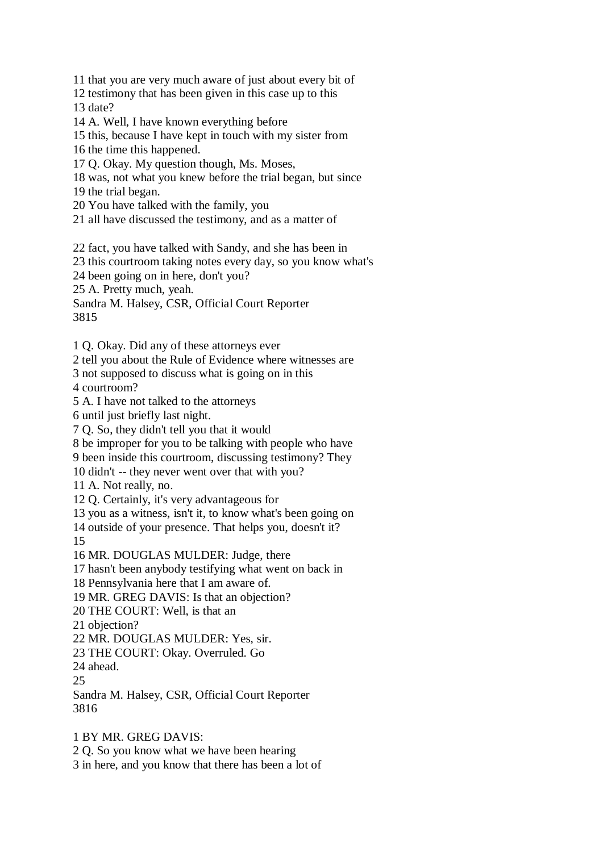11 that you are very much aware of just about every bit of

12 testimony that has been given in this case up to this 13 date?

14 A. Well, I have known everything before

15 this, because I have kept in touch with my sister from

16 the time this happened.

17 Q. Okay. My question though, Ms. Moses,

18 was, not what you knew before the trial began, but since

19 the trial began.

20 You have talked with the family, you

21 all have discussed the testimony, and as a matter of

22 fact, you have talked with Sandy, and she has been in

23 this courtroom taking notes every day, so you know what's

24 been going on in here, don't you?

25 A. Pretty much, yeah.

Sandra M. Halsey, CSR, Official Court Reporter 3815

1 Q. Okay. Did any of these attorneys ever

2 tell you about the Rule of Evidence where witnesses are

3 not supposed to discuss what is going on in this 4 courtroom?

5 A. I have not talked to the attorneys

6 until just briefly last night.

7 Q. So, they didn't tell you that it would

8 be improper for you to be talking with people who have

9 been inside this courtroom, discussing testimony? They

10 didn't -- they never went over that with you?

11 A. Not really, no.

12 Q. Certainly, it's very advantageous for

13 you as a witness, isn't it, to know what's been going on

14 outside of your presence. That helps you, doesn't it?

15

16 MR. DOUGLAS MULDER: Judge, there

17 hasn't been anybody testifying what went on back in

18 Pennsylvania here that I am aware of.

19 MR. GREG DAVIS: Is that an objection?

20 THE COURT: Well, is that an

21 objection?

22 MR. DOUGLAS MULDER: Yes, sir.

23 THE COURT: Okay. Overruled. Go

24 ahead.

25

Sandra M. Halsey, CSR, Official Court Reporter 3816

1 BY MR. GREG DAVIS:

2 Q. So you know what we have been hearing

3 in here, and you know that there has been a lot of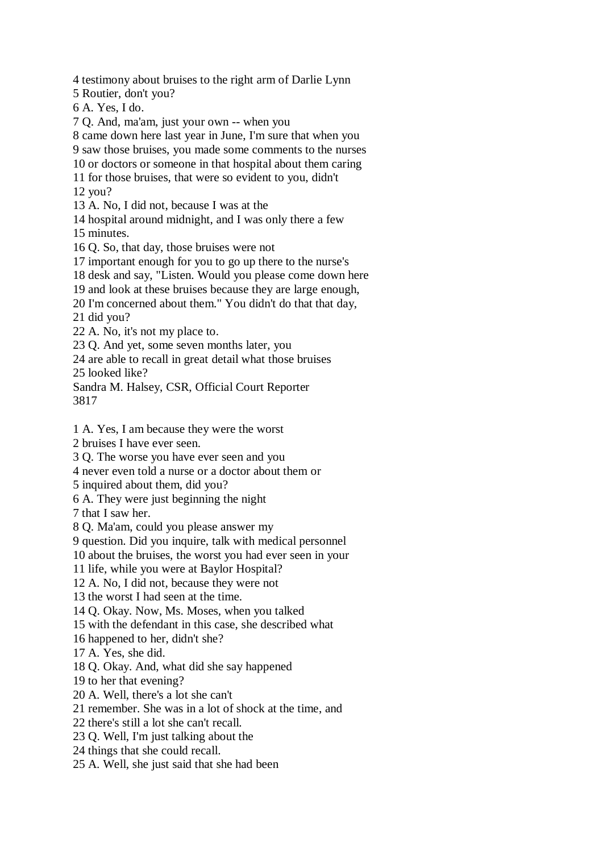4 testimony about bruises to the right arm of Darlie Lynn 5 Routier, don't you? 6 A. Yes, I do. 7 Q. And, ma'am, just your own -- when you 8 came down here last year in June, I'm sure that when you 9 saw those bruises, you made some comments to the nurses 10 or doctors or someone in that hospital about them caring 11 for those bruises, that were so evident to you, didn't 12 you? 13 A. No, I did not, because I was at the 14 hospital around midnight, and I was only there a few 15 minutes. 16 Q. So, that day, those bruises were not 17 important enough for you to go up there to the nurse's 18 desk and say, "Listen. Would you please come down here 19 and look at these bruises because they are large enough, 20 I'm concerned about them." You didn't do that that day, 21 did you? 22 A. No, it's not my place to. 23 Q. And yet, some seven months later, you 24 are able to recall in great detail what those bruises 25 looked like? Sandra M. Halsey, CSR, Official Court Reporter 3817 1 A. Yes, I am because they were the worst 2 bruises I have ever seen. 3 Q. The worse you have ever seen and you 4 never even told a nurse or a doctor about them or 5 inquired about them, did you? 6 A. They were just beginning the night

7 that I saw her.

8 Q. Ma'am, could you please answer my

9 question. Did you inquire, talk with medical personnel

10 about the bruises, the worst you had ever seen in your

11 life, while you were at Baylor Hospital?

12 A. No, I did not, because they were not

13 the worst I had seen at the time.

14 Q. Okay. Now, Ms. Moses, when you talked

15 with the defendant in this case, she described what

16 happened to her, didn't she?

17 A. Yes, she did.

18 Q. Okay. And, what did she say happened

19 to her that evening?

20 A. Well, there's a lot she can't

21 remember. She was in a lot of shock at the time, and

22 there's still a lot she can't recall.

23 Q. Well, I'm just talking about the

24 things that she could recall.

25 A. Well, she just said that she had been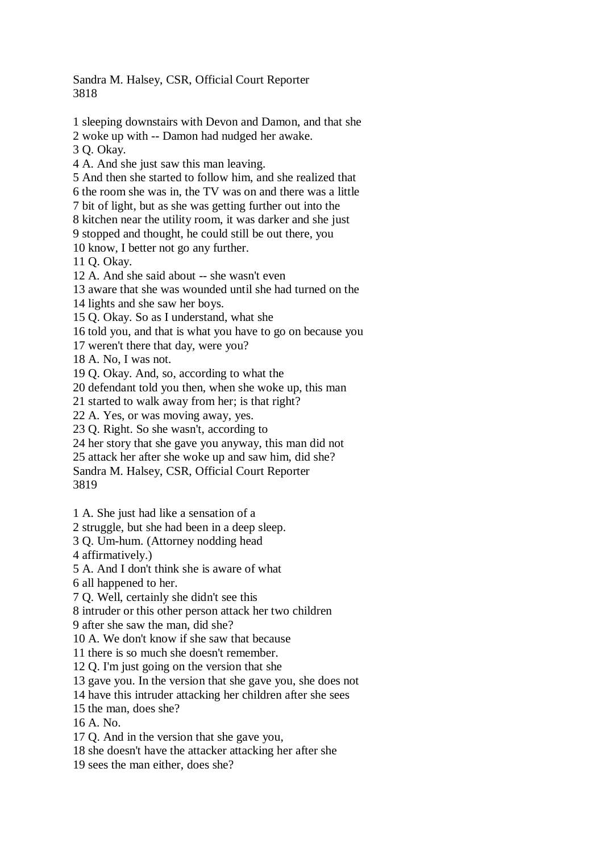Sandra M. Halsey, CSR, Official Court Reporter 3818

1 sleeping downstairs with Devon and Damon, and that she

2 woke up with -- Damon had nudged her awake.

3 Q. Okay.

4 A. And she just saw this man leaving.

5 And then she started to follow him, and she realized that

6 the room she was in, the TV was on and there was a little

7 bit of light, but as she was getting further out into the

8 kitchen near the utility room, it was darker and she just

9 stopped and thought, he could still be out there, you

10 know, I better not go any further.

11 Q. Okay.

12 A. And she said about -- she wasn't even

13 aware that she was wounded until she had turned on the

14 lights and she saw her boys.

15 Q. Okay. So as I understand, what she

16 told you, and that is what you have to go on because you

17 weren't there that day, were you?

18 A. No, I was not.

19 Q. Okay. And, so, according to what the

20 defendant told you then, when she woke up, this man

21 started to walk away from her; is that right?

22 A. Yes, or was moving away, yes.

23 Q. Right. So she wasn't, according to

24 her story that she gave you anyway, this man did not

25 attack her after she woke up and saw him, did she?

Sandra M. Halsey, CSR, Official Court Reporter 3819

1 A. She just had like a sensation of a

2 struggle, but she had been in a deep sleep.

3 Q. Um-hum. (Attorney nodding head

4 affirmatively.)

5 A. And I don't think she is aware of what

6 all happened to her.

7 Q. Well, certainly she didn't see this

8 intruder or this other person attack her two children

9 after she saw the man, did she?

10 A. We don't know if she saw that because

11 there is so much she doesn't remember.

12 Q. I'm just going on the version that she

13 gave you. In the version that she gave you, she does not

14 have this intruder attacking her children after she sees

15 the man, does she?

16 A. No.

17 Q. And in the version that she gave you,

18 she doesn't have the attacker attacking her after she

19 sees the man either, does she?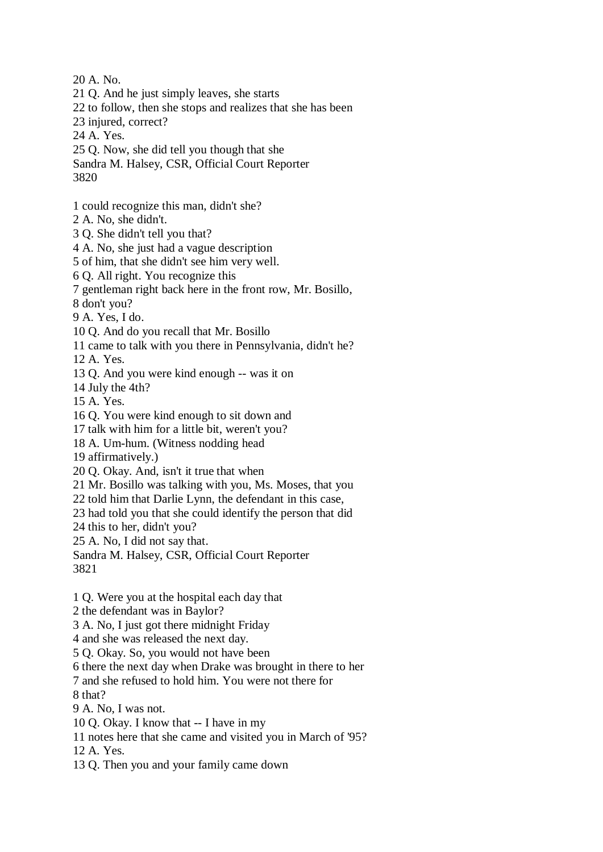20 A. No. 21 Q. And he just simply leaves, she starts 22 to follow, then she stops and realizes that she has been 23 injured, correct? 24 A. Yes. 25 Q. Now, she did tell you though that she Sandra M. Halsey, CSR, Official Court Reporter 3820 1 could recognize this man, didn't she? 2 A. No, she didn't. 3 Q. She didn't tell you that? 4 A. No, she just had a vague description 5 of him, that she didn't see him very well. 6 Q. All right. You recognize this 7 gentleman right back here in the front row, Mr. Bosillo, 8 don't you? 9 A. Yes, I do. 10 Q. And do you recall that Mr. Bosillo 11 came to talk with you there in Pennsylvania, didn't he? 12 A. Yes. 13 Q. And you were kind enough -- was it on 14 July the 4th? 15 A. Yes. 16 Q. You were kind enough to sit down and 17 talk with him for a little bit, weren't you? 18 A. Um-hum. (Witness nodding head 19 affirmatively.) 20 Q. Okay. And, isn't it true that when 21 Mr. Bosillo was talking with you, Ms. Moses, that you 22 told him that Darlie Lynn, the defendant in this case, 23 had told you that she could identify the person that did 24 this to her, didn't you? 25 A. No, I did not say that. Sandra M. Halsey, CSR, Official Court Reporter 3821 1 Q. Were you at the hospital each day that 2 the defendant was in Baylor?

3 A. No, I just got there midnight Friday

4 and she was released the next day.

5 Q. Okay. So, you would not have been

6 there the next day when Drake was brought in there to her

7 and she refused to hold him. You were not there for

8 that?

9 A. No, I was not.

10 Q. Okay. I know that -- I have in my

11 notes here that she came and visited you in March of '95?

12 A. Yes.

13 Q. Then you and your family came down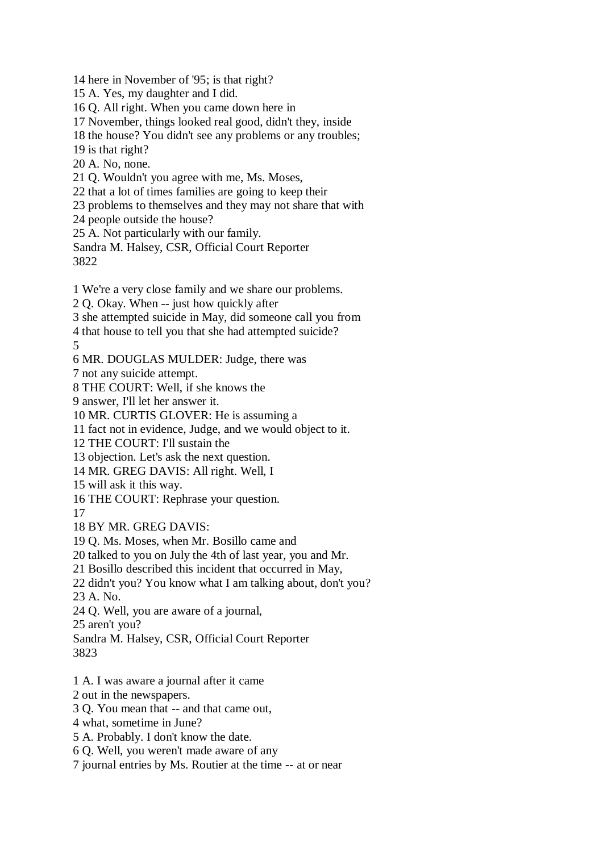14 here in November of '95; is that right?

15 A. Yes, my daughter and I did.

16 Q. All right. When you came down here in

17 November, things looked real good, didn't they, inside

18 the house? You didn't see any problems or any troubles;

19 is that right?

20 A. No, none.

21 Q. Wouldn't you agree with me, Ms. Moses,

22 that a lot of times families are going to keep their

23 problems to themselves and they may not share that with

24 people outside the house?

25 A. Not particularly with our family.

Sandra M. Halsey, CSR, Official Court Reporter 3822

1 We're a very close family and we share our problems.

2 Q. Okay. When -- just how quickly after

3 she attempted suicide in May, did someone call you from

4 that house to tell you that she had attempted suicide?

5

6 MR. DOUGLAS MULDER: Judge, there was

7 not any suicide attempt.

8 THE COURT: Well, if she knows the

9 answer, I'll let her answer it.

10 MR. CURTIS GLOVER: He is assuming a

11 fact not in evidence, Judge, and we would object to it.

12 THE COURT: I'll sustain the

13 objection. Let's ask the next question.

14 MR. GREG DAVIS: All right. Well, I

15 will ask it this way.

16 THE COURT: Rephrase your question.

17

18 BY MR. GREG DAVIS:

19 Q. Ms. Moses, when Mr. Bosillo came and

20 talked to you on July the 4th of last year, you and Mr.

21 Bosillo described this incident that occurred in May,

22 didn't you? You know what I am talking about, don't you?

23 A. No.

24 Q. Well, you are aware of a journal,

25 aren't you?

Sandra M. Halsey, CSR, Official Court Reporter 3823

1 A. I was aware a journal after it came

2 out in the newspapers.

3 Q. You mean that -- and that came out,

4 what, sometime in June?

5 A. Probably. I don't know the date.

6 Q. Well, you weren't made aware of any

7 journal entries by Ms. Routier at the time -- at or near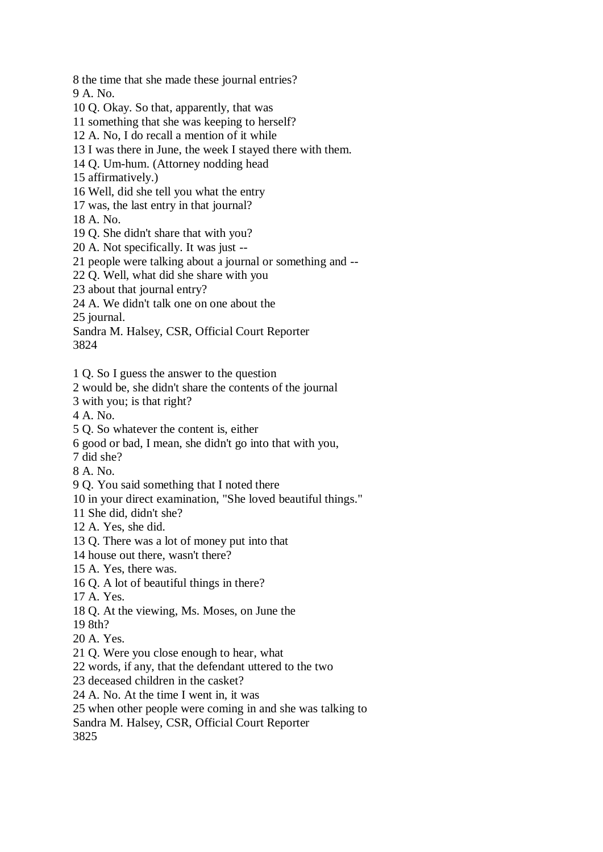8 the time that she made these journal entries? 9 A. No. 10 Q. Okay. So that, apparently, that was 11 something that she was keeping to herself? 12 A. No, I do recall a mention of it while 13 I was there in June, the week I stayed there with them. 14 Q. Um-hum. (Attorney nodding head 15 affirmatively.) 16 Well, did she tell you what the entry 17 was, the last entry in that journal? 18 A. No. 19 Q. She didn't share that with you? 20 A. Not specifically. It was just -- 21 people were talking about a journal or something and -- 22 Q. Well, what did she share with you 23 about that journal entry? 24 A. We didn't talk one on one about the 25 journal. Sandra M. Halsey, CSR, Official Court Reporter 3824 1 Q. So I guess the answer to the question 2 would be, she didn't share the contents of the journal 3 with you; is that right? 4 A. No. 5 Q. So whatever the content is, either 6 good or bad, I mean, she didn't go into that with you, 7 did she? 8 A. No. 9 Q. You said something that I noted there 10 in your direct examination, "She loved beautiful things." 11 She did, didn't she? 12 A. Yes, she did. 13 Q. There was a lot of money put into that 14 house out there, wasn't there? 15 A. Yes, there was. 16 Q. A lot of beautiful things in there? 17 A. Yes. 18 Q. At the viewing, Ms. Moses, on June the 19 8th? 20 A. Yes. 21 Q. Were you close enough to hear, what 22 words, if any, that the defendant uttered to the two 23 deceased children in the casket? 24 A. No. At the time I went in, it was 25 when other people were coming in and she was talking to Sandra M. Halsey, CSR, Official Court Reporter 3825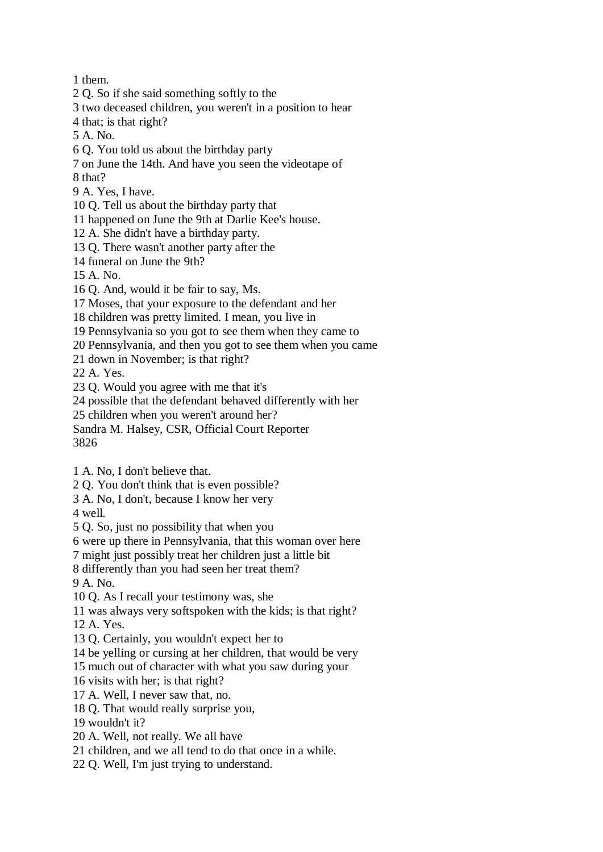1 them.

- 2 Q. So if she said something softly to the
- 3 two deceased children, you weren't in a position to hear
- 4 that; is that right?
- 5 A. No.
- 6 Q. You told us about the birthday party
- 7 on June the 14th. And have you seen the videotape of 8 that?
- 9 A. Yes, I have.
- 10 Q. Tell us about the birthday party that
- 11 happened on June the 9th at Darlie Kee's house.
- 12 A. She didn't have a birthday party.
- 13 Q. There wasn't another party after the
- 14 funeral on June the 9th?
- 15 A. No.
- 16 Q. And, would it be fair to say, Ms.
- 17 Moses, that your exposure to the defendant and her
- 18 children was pretty limited. I mean, you live in
- 19 Pennsylvania so you got to see them when they came to
- 20 Pennsylvania, and then you got to see them when you came
- 21 down in November; is that right?

22 A. Yes.

- 23 Q. Would you agree with me that it's
- 24 possible that the defendant behaved differently with her
- 25 children when you weren't around her?
- Sandra M. Halsey, CSR, Official Court Reporter
- 3826
- 1 A. No, I don't believe that.
- 2 Q. You don't think that is even possible?
- 3 A. No, I don't, because I know her very

4 well.

- 5 Q. So, just no possibility that when you
- 6 were up there in Pennsylvania, that this woman over here
- 7 might just possibly treat her children just a little bit
- 8 differently than you had seen her treat them?

9 A. No.

- 10 Q. As I recall your testimony was, she
- 11 was always very softspoken with the kids; is that right?

12 A. Yes.

- 13 Q. Certainly, you wouldn't expect her to
- 14 be yelling or cursing at her children, that would be very
- 15 much out of character with what you saw during your
- 16 visits with her; is that right?
- 17 A. Well, I never saw that, no.
- 18 Q. That would really surprise you,
- 19 wouldn't it?
- 20 A. Well, not really. We all have
- 21 children, and we all tend to do that once in a while.
- 22 Q. Well, I'm just trying to understand.